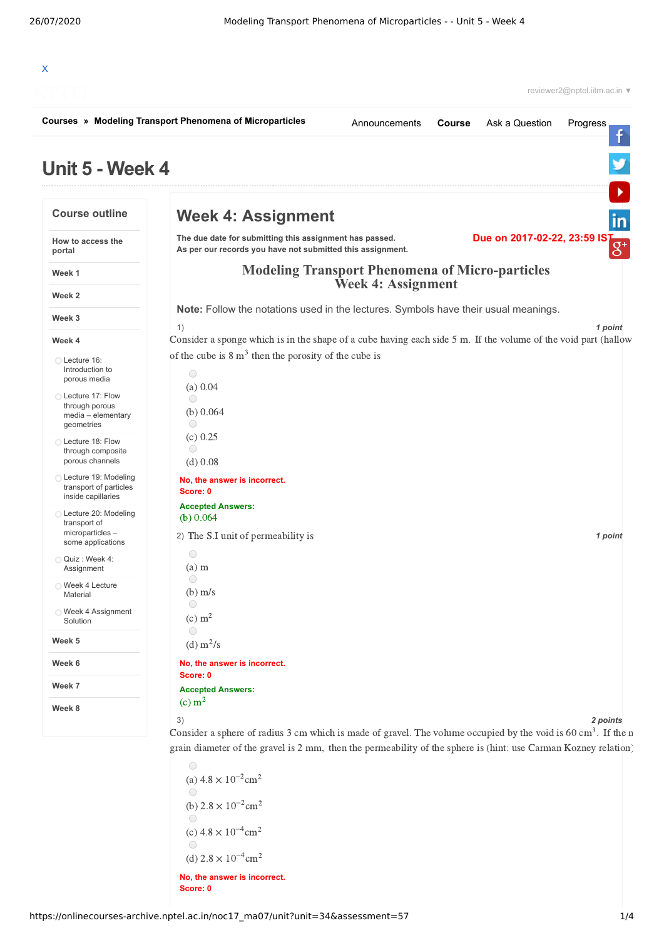| Unit 5 - Week 4<br><b>Course outline</b><br>How to access the<br>portal<br>Week 1<br>Week 2 | <b>Week 4: Assignment</b><br>The due date for submitting this assignment has passed.<br>As per our records you have not submitted this assignment. |                                                                                     |  | Due on 2017-02-22, 23:59 IS |                |  |
|---------------------------------------------------------------------------------------------|----------------------------------------------------------------------------------------------------------------------------------------------------|-------------------------------------------------------------------------------------|--|-----------------------------|----------------|--|
|                                                                                             |                                                                                                                                                    |                                                                                     |  |                             |                |  |
|                                                                                             |                                                                                                                                                    |                                                                                     |  |                             |                |  |
|                                                                                             |                                                                                                                                                    |                                                                                     |  |                             | $\overline{8}$ |  |
|                                                                                             |                                                                                                                                                    | <b>Modeling Transport Phenomena of Micro-particles</b><br><b>Week 4: Assignment</b> |  |                             |                |  |
|                                                                                             |                                                                                                                                                    |                                                                                     |  |                             |                |  |
| Week 3                                                                                      | Note: Follow the notations used in the lectures. Symbols have their usual meanings.                                                                |                                                                                     |  |                             |                |  |
| Week 4                                                                                      | 1)<br>Consider a sponge which is in the shape of a cube having each side 5 m. If the volume of the void part (hallow                               |                                                                                     |  |                             | 1 point        |  |
| ◯ Lecture 16:<br>Introduction to<br>porous media                                            | of the cube is $8 \text{ m}^3$ then the porosity of the cube is<br>$\bigcirc$                                                                      |                                                                                     |  |                             |                |  |
| ◯ Lecture 17: Flow<br>through porous<br>media - elementary<br>geometries                    | (a) 0.04<br>$\bigcirc$<br>(b) $0.064$<br>$\bigcirc$                                                                                                |                                                                                     |  |                             |                |  |
| ◯ Lecture 18: Flow<br>through composite<br>porous channels                                  | (c) 0.25<br>$\bigcirc$<br>$(d)$ 0.08                                                                                                               |                                                                                     |  |                             |                |  |
| ◯ Lecture 19: Modeling<br>transport of particles<br>inside capillaries                      | No, the answer is incorrect.<br>Score: 0                                                                                                           |                                                                                     |  |                             |                |  |
| ◯ Lecture 20: Modeling                                                                      | <b>Accepted Answers:</b><br>(b) $0.064$                                                                                                            |                                                                                     |  |                             |                |  |
| transport of<br>microparticles-<br>some applications                                        | 2) The S.I unit of permeability is                                                                                                                 |                                                                                     |  |                             | 1 point        |  |
| Quiz: Week 4:<br>Assignment                                                                 | 0<br>$(a)$ m                                                                                                                                       |                                                                                     |  |                             |                |  |
| ◯ Week 4 Lecture<br>Material                                                                | $\bigcirc$<br>$(b)$ m/s                                                                                                                            |                                                                                     |  |                             |                |  |
| ◯ Week 4 Assignment<br>Solution                                                             | $\bigcirc$<br>(c) m <sup>2</sup>                                                                                                                   |                                                                                     |  |                             |                |  |
| Week 5                                                                                      | $\bigcirc$<br>(d) $m^2/s$                                                                                                                          |                                                                                     |  |                             |                |  |
| Week 6                                                                                      | No, the answer is incorrect.                                                                                                                       |                                                                                     |  |                             |                |  |
| Week 7                                                                                      | Score: 0<br><b>Accepted Answers:</b>                                                                                                               |                                                                                     |  |                             |                |  |

Consider a sphere of radius 3 cm which is made of gravel. The volume occupied by the void is  $60 \text{ cm}^3$ . If the r grain diameter of the gravel is 2 mm, then the permeability of the sphere is (hint: use Carman Kozney relation)

 $\bigcirc$ (a)  $4.8 \times 10^{-2}$  cm<sup>2</sup>  $\circ$ (b)  $2.8 \times 10^{-2}$  cm<sup>2</sup>  $\bigcirc$  $(c)$  4.8  $\times$  10<sup>-4</sup> cm<sup>2</sup>  $\bigcirc$ (d)  $2.8 \times 10^{-4}$  cm<sup>2</sup>

**No, the answer is incorrect. Score: 0**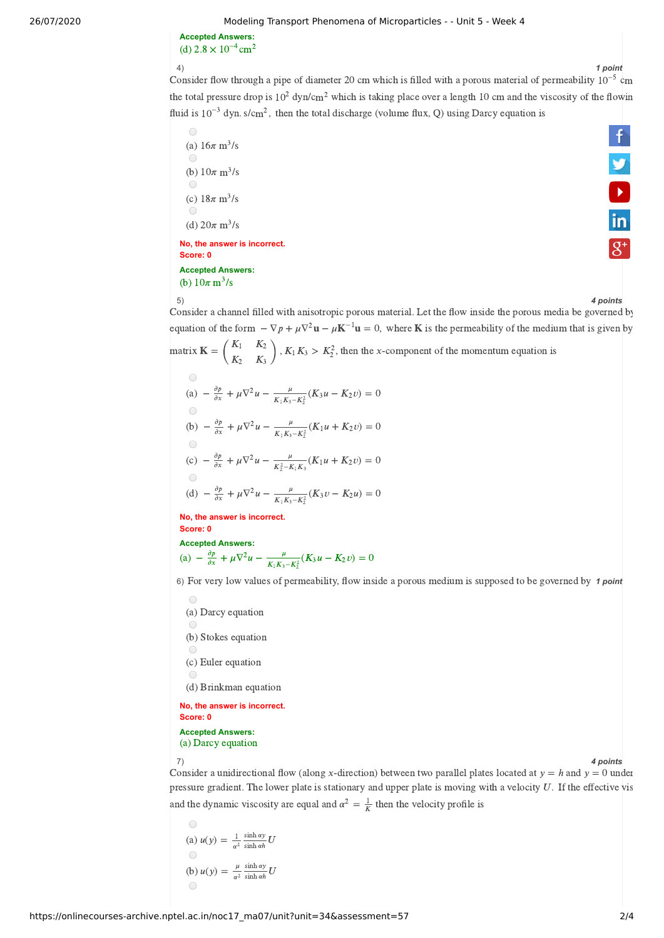26/07/2020 Modeling Transport Phenomena of Microparticles - - Unit 5 - Week 4

**Accepted Answers:** (d)  $2.8 \times 10^{-4}$  cm<sup>2</sup>

## 4) *1 point*

4)<br>Consider flow through a pipe of diameter 20 cm which is filled with a porous material of permeability 10<sup>-5</sup> cm the total pressure drop is  $10^2$  dyn/cm<sup>2</sup> which is taking place over a length 10 cm and the viscosity of the flowin fluid is  $10^{-3}$  dyn. s/cm<sup>2</sup>, then the total discharge (volume flux, Q) using Darcy equation is

 $\bigcirc$ (a)  $16\pi \text{ m}^3/\text{s}$  $\bigcirc$ (b)  $10\pi \text{ m}^3/\text{s}$ (c)  $18\pi \text{ m}^3/\text{s}$ (d)  $20\pi \,\mathrm{m}^3/\mathrm{s}$ **No, the answer is incorrect.**

**Score: 0 Accepted Answers:**

(b)  $10\pi \, \text{m}^3/\text{s}$ 

f  $\frac{9}{10}$ 

5) *4 points* Consider a channel filled with anisotropic porous material. Let the flow inside the porous media be governed by equation of the form  $-\nabla p + \mu \nabla^2 \mathbf{u} - \mu \mathbf{K}^{-1} \mathbf{u} = 0$ , where **K** is the permeability of the medium that is given by  $K_2$ 

matrix  $\mathbf{K} = \begin{pmatrix} K_1 & K_2 \ K_2 & K_3 \end{pmatrix}$ ,  $K_1 K_3 > K_2^2$ , then the x-component of the momentum equation is  $\binom{K_2}{K_3}$ ,  $K_1K_3 > K_2^2$ ,  $K_2$  $\bigcirc$ ∂

(a) 
$$
-\frac{\partial p}{\partial x} + \mu \nabla^2 u - \frac{\mu}{K_1 K_3 - K_2^2} (K_3 u - K_2 v) = 0
$$
  
\n(b)  $-\frac{\partial p}{\partial x} + \mu \nabla^2 u - \frac{\mu}{K_1 K_3 - K_2^2} (K_1 u + K_2 v) = 0$   
\n(c)  $-\frac{\partial p}{\partial x} + \mu \nabla^2 u - \frac{\mu}{K_2^2 - K_1 K_3} (K_1 u + K_2 v) = 0$   
\n(d)  $-\frac{\partial p}{\partial x} + \mu \nabla^2 u - \frac{\mu}{K_1 K_3 - K_2^2} (K_3 v - K_2 u) = 0$ 

**No, the answer is incorrect. Score: 0**

**Accepted Answers:** (a)  $-\frac{\partial p}{\partial x} + \mu \nabla^2 u - \frac{\mu}{K \cdot K - K^2} (K_3 u - K_2 v) = 0$  $\frac{\mu}{K_1K_3-K_2^2}(K_3u-K_2u)$ 

6) For very low values of permeability, flow inside a porous medium is supposed to be governed by 1 point

 $\bigcirc$ (a) Darcy equation (b) Stokes equation (c) Euler equation (d) Brinkman equation **No, the answer is incorrect. Score: 0**

**Accepted Answers:** (a) Darcy equation

7) *4 points*

Consider a unidirectional flow (along x-direction) between two parallel plates located at  $y = h$  and  $y = 0$  under pressure gradient. The lower plate is stationary and upper plate is moving with a velocity  $U$ . If the effective vis and the dynamic viscosity are equal and  $\alpha^2 = \frac{1}{K}$  then the velocity profile is

(a) 
$$
u(y) = \frac{1}{\alpha^2} \frac{\sinh \alpha y}{\sinh \alpha h} U
$$
  
\n(b)  $u(y) = \frac{\mu}{\alpha^2} \frac{\sinh \alpha y}{\sinh \alpha h} U$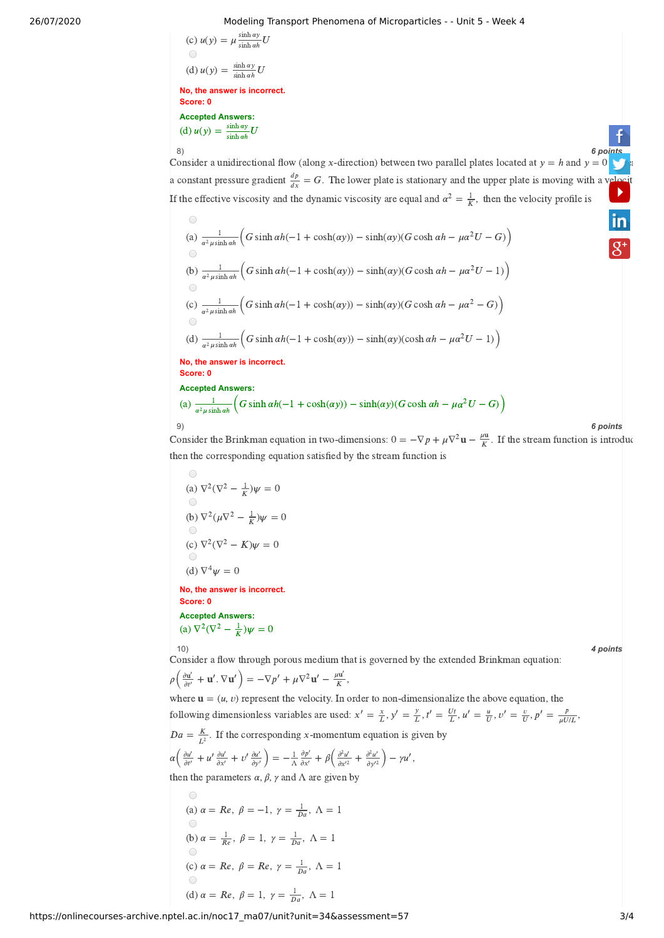## 26/07/2020 Modeling Transport Phenomena of Microparticles - - Unit 5 - Week 4

(c) 
$$
u(y) = \mu \frac{\sinh \alpha y}{\sinh \alpha h} U
$$
  
(d)  $u(y) = \frac{\sinh \alpha y}{\sinh \alpha h} U$ 

 $\sinh \alpha v$ 

**No, the answer is incorrect. Score: 0 Accepted Answers:** (d)  $u(y) = \frac{\sinh ay}{\sinh ab} U$  $sinh \alpha h$ 

8) *6 [points](https://www.facebook.com/NPTELNoc/)* Consider a unidirectional flow (along x-direction) between two parallel plates located at  $y = h$  and  $y = 0$ a constant pressure gradient  $\frac{dp}{dx} = G$ . The lower plate is stationary and the upper plate is moving with a [velocit](https://www.youtube.com/user/nptelhrd)  $\overline{dx}$  $\blacktriangleright$ If the effective viscosity and the dynamic viscosity are equal and  $\alpha^2 = \frac{1}{K}$ , then the velocity profile is

(a) 
$$
\frac{1}{\alpha^2 \mu \sinh \alpha h} \Big( G \sinh \alpha h(-1 + \cosh(\alpha y)) - \sinh(\alpha y)(G \cosh \alpha h - \mu \alpha^2 U - G) \Big)
$$
  
\n(b)  $\frac{1}{\alpha^2 \mu \sinh \alpha h} \Big( G \sinh \alpha h(-1 + \cosh(\alpha y)) - \sinh(\alpha y)(G \cosh \alpha h - \mu \alpha^2 U - 1) \Big)$   
\n(c)  $\frac{1}{\alpha^2 \mu \sinh \alpha h} \Big( G \sinh \alpha h(-1 + \cosh(\alpha y)) - \sinh(\alpha y)(G \cosh \alpha h - \mu \alpha^2 - G) \Big)$   
\n(d)  $\frac{1}{\alpha^2 \mu \sinh \alpha h} \Big( G \sinh \alpha h(-1 + \cosh(\alpha y)) - \sinh(\alpha y)(\cosh \alpha h - \mu \alpha^2 U - 1) \Big)$   
\nNo, the answer is incorrect.  
\nScore: 0  
\nAccepted Answers:  
\n(a)  $\frac{1}{\alpha^2 \mu \sinh \alpha h} \Big( G \sinh \alpha h(-1 + \cosh(\alpha y)) - \sinh(\alpha y)(G \cosh \alpha h - \mu \alpha^2 U - G) \Big)$ 

 $\sqrt{2}$ 

9) *6 points* Consider the Brinkman equation in two-dimensions:  $0 = -\nabla p + \mu \nabla^2 \mathbf{u} - \frac{\mu \mathbf{u}}{K}$ . If the stream function is introduc then the corresponding equation satisfied by the stream function is

(a) 
$$
\nabla^2(\nabla^2 - \frac{1}{K})\psi = 0
$$
  
\n(b)  $\nabla^2(\mu\nabla^2 - \frac{1}{K})\psi = 0$   
\n(c)  $\nabla^2(\nabla^2 - K)\psi = 0$   
\n(d)  $\nabla^4\psi = 0$   
\n**No, the answer is incorrect.**  
\n**Score: 0**  
\n**Accepted Answers:**  
\n(a)  $\nabla^2(\nabla^2 - \frac{1}{K})\psi = 0$ 

10) *4 points*

Consider a flow through porous medium that is governed by the extended Brinkman equation:  $\rho\left(\frac{\partial \mathbf{u}'}{\partial t'} + \mathbf{u}', \nabla \mathbf{u}'\right) = -\nabla p' + \mu \nabla^2 \mathbf{u}' - \frac{\mu \mathbf{u}'}{K},$ 

where  $\mathbf{u} = (u, v)$  represent the velocity. In order to non-dimensionalize the above equation, the following dimensionless variables are used:  $x' = \frac{x}{L}$ ,  $y' = \frac{y}{L}$ ,  $t' = \frac{Ut}{L}$ ,  $u' = \frac{u}{U}$ ,  $v' = \frac{v}{U}$ ,  $p' = \frac{p}{uU/L}$ ,  $\overline{\mu U/L}$  $Da = \frac{K}{L^2}$ . If the corresponding x-momentum equation is given by  $\alpha\left(\frac{\partial u'}{\partial t'}+u'\frac{\partial u'}{\partial x'}+v'\frac{\partial u'}{\partial y'}\right)=-\frac{1}{\Lambda}\frac{\partial p'}{\partial x'}+\beta\left(\frac{\partial^2 u'}{\partial x'^2}+\frac{\partial^2 u'}{\partial y'^2}\right)-\gamma u',$  $\frac{\partial p'}{\partial x'} + \beta \left( \frac{\partial^2 u'}{\partial x'^2} \right)$  $\frac{\partial^2 u'}{\partial y'^2}\Big) - \gamma u',$ then the parameters  $\alpha$ ,  $\beta$ ,  $\gamma$  and  $\Lambda$  are given by

(a) 
$$
\alpha = Re
$$
,  $\beta = -1$ ,  $\gamma = \frac{1}{Da}$ ,  $\Lambda = 1$   
\n(b)  $\alpha = \frac{1}{Re}$ ,  $\beta = 1$ ,  $\gamma = \frac{1}{Da}$ ,  $\Lambda = 1$   
\n(c)  $\alpha = Re$ ,  $\beta = Re$ ,  $\gamma = \frac{1}{Da}$ ,  $\Lambda = 1$   
\n(d)  $\alpha = Re$ ,  $\beta = 1$ ,  $\gamma = \frac{1}{Da}$ ,  $\Lambda = 1$